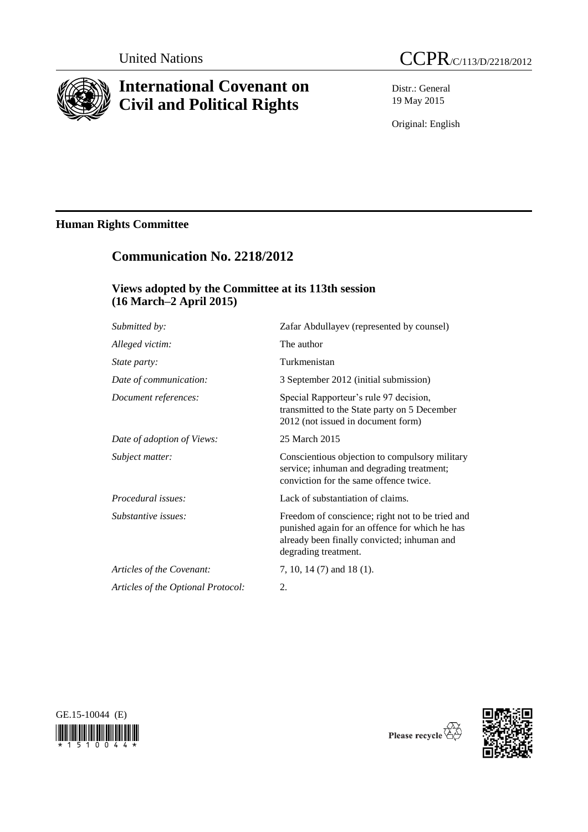

# **International Covenant on Civil and Political Rights**

Distr.: General 19 May 2015

Original: English

# **Human Rights Committee**

# **Communication No. 2218/2012**

# **Views adopted by the Committee at its 113th session (16 March–2 April 2015)**

| Submitted by:                      | Zafar Abdullayev (represented by counsel)                                                                                                                                 |
|------------------------------------|---------------------------------------------------------------------------------------------------------------------------------------------------------------------------|
| Alleged victim:                    | The author                                                                                                                                                                |
| <i>State party:</i>                | Turkmenistan                                                                                                                                                              |
| Date of communication:             | 3 September 2012 (initial submission)                                                                                                                                     |
| Document references:               | Special Rapporteur's rule 97 decision,<br>transmitted to the State party on 5 December<br>2012 (not issued in document form)                                              |
| Date of adoption of Views:         | 25 March 2015                                                                                                                                                             |
| Subject matter:                    | Conscientious objection to compulsory military<br>service; inhuman and degrading treatment;<br>conviction for the same offence twice.                                     |
| Procedural issues:                 | Lack of substantiation of claims.                                                                                                                                         |
| Substantive issues:                | Freedom of conscience; right not to be tried and<br>punished again for an offence for which he has<br>already been finally convicted; inhuman and<br>degrading treatment. |
| Articles of the Covenant:          | 7, 10, 14 (7) and 18 (1).                                                                                                                                                 |
| Articles of the Optional Protocol: | 2.                                                                                                                                                                        |





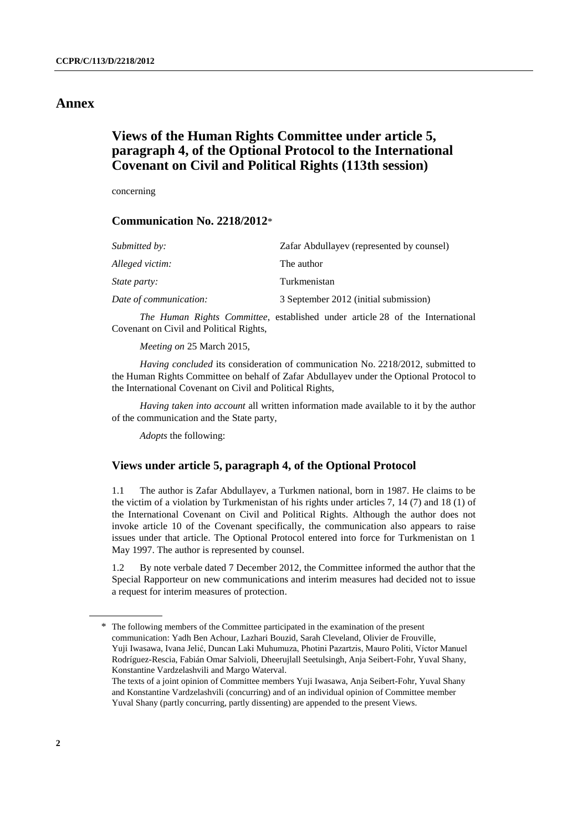## **Annex**

# **Views of the Human Rights Committee under article 5, paragraph 4, of the Optional Protocol to the International Covenant on Civil and Political Rights (113th session)**

concerning

### **Communication No. 2218/2012**\*

| Submitted by:          | Zafar Abdullayev (represented by counsel) |
|------------------------|-------------------------------------------|
| Alleged victim:        | The author                                |
| <i>State party:</i>    | Turkmenistan                              |
| Date of communication: | 3 September 2012 (initial submission)     |

*The Human Rights Committee*, established under article 28 of the International Covenant on Civil and Political Rights,

*Meeting on* 25 March 2015,

*Having concluded* its consideration of communication No. 2218/2012, submitted to the Human Rights Committee on behalf of Zafar Abdullayev under the Optional Protocol to the International Covenant on Civil and Political Rights,

*Having taken into account* all written information made available to it by the author of the communication and the State party,

*Adopts* the following:

#### **Views under article 5, paragraph 4, of the Optional Protocol**

1.1 The author is Zafar Abdullayev, a Turkmen national, born in 1987. He claims to be the victim of a violation by Turkmenistan of his rights under articles 7, 14 (7) and 18 (1) of the International Covenant on Civil and Political Rights. Although the author does not invoke article 10 of the Covenant specifically, the communication also appears to raise issues under that article. The Optional Protocol entered into force for Turkmenistan on 1 May 1997. The author is represented by counsel.

1.2 By note verbale dated 7 December 2012, the Committee informed the author that the Special Rapporteur on new communications and interim measures had decided not to issue a request for interim measures of protection.

<sup>\*</sup> The following members of the Committee participated in the examination of the present communication: Yadh Ben Achour, Lazhari Bouzid, Sarah Cleveland, Olivier de Frouville, Yuji Iwasawa, Ivana Jelić, Duncan Laki Muhumuza, Photini Pazartzis, Mauro Politi, Víctor Manuel Rodríguez-Rescia, Fabián Omar Salvioli, Dheerujlall Seetulsingh, Anja Seibert-Fohr, Yuval Shany, Konstantine Vardzelashvili and Margo Waterval.

The texts of a joint opinion of Committee members Yuji Iwasawa, Anja Seibert-Fohr, Yuval Shany and Konstantine Vardzelashvili (concurring) and of an individual opinion of Committee member Yuval Shany (partly concurring, partly dissenting) are appended to the present Views.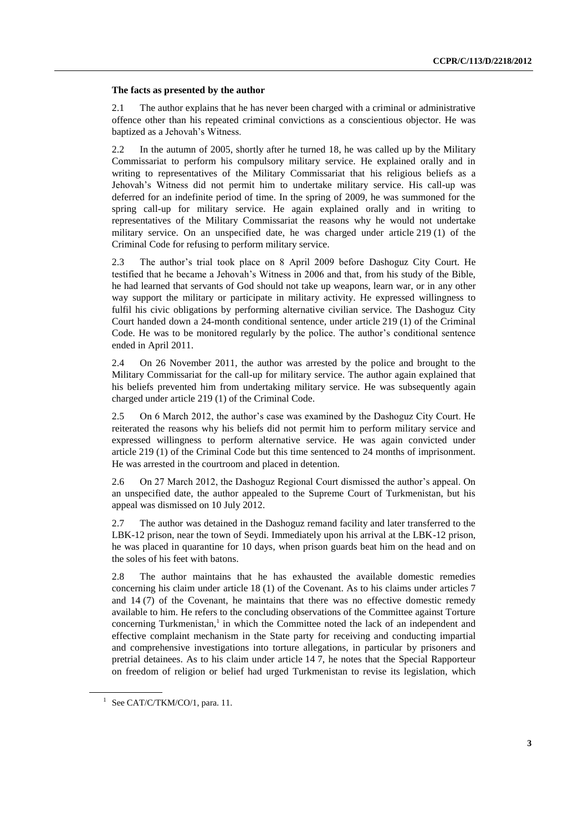#### **The facts as presented by the author**

2.1 The author explains that he has never been charged with a criminal or administrative offence other than his repeated criminal convictions as a conscientious objector. He was baptized as a Jehovah's Witness.

2.2 In the autumn of 2005, shortly after he turned 18, he was called up by the Military Commissariat to perform his compulsory military service. He explained orally and in writing to representatives of the Military Commissariat that his religious beliefs as a Jehovah's Witness did not permit him to undertake military service. His call-up was deferred for an indefinite period of time. In the spring of 2009, he was summoned for the spring call-up for military service. He again explained orally and in writing to representatives of the Military Commissariat the reasons why he would not undertake military service. On an unspecified date, he was charged under article 219 (1) of the Criminal Code for refusing to perform military service.

2.3 The author's trial took place on 8 April 2009 before Dashoguz City Court. He testified that he became a Jehovah's Witness in 2006 and that, from his study of the Bible, he had learned that servants of God should not take up weapons, learn war, or in any other way support the military or participate in military activity. He expressed willingness to fulfil his civic obligations by performing alternative civilian service. The Dashoguz City Court handed down a 24-month conditional sentence, under article 219 (1) of the Criminal Code. He was to be monitored regularly by the police. The author's conditional sentence ended in April 2011.

2.4 On 26 November 2011, the author was arrested by the police and brought to the Military Commissariat for the call-up for military service. The author again explained that his beliefs prevented him from undertaking military service. He was subsequently again charged under article 219 (1) of the Criminal Code.

2.5 On 6 March 2012, the author's case was examined by the Dashoguz City Court. He reiterated the reasons why his beliefs did not permit him to perform military service and expressed willingness to perform alternative service. He was again convicted under article 219 (1) of the Criminal Code but this time sentenced to 24 months of imprisonment. He was arrested in the courtroom and placed in detention.

2.6 On 27 March 2012, the Dashoguz Regional Court dismissed the author's appeal. On an unspecified date, the author appealed to the Supreme Court of Turkmenistan, but his appeal was dismissed on 10 July 2012.

2.7 The author was detained in the Dashoguz remand facility and later transferred to the LBK-12 prison, near the town of Seydi. Immediately upon his arrival at the LBK-12 prison, he was placed in quarantine for 10 days, when prison guards beat him on the head and on the soles of his feet with batons.

2.8 The author maintains that he has exhausted the available domestic remedies concerning his claim under article 18 (1) of the Covenant. As to his claims under articles 7 and 14 (7) of the Covenant, he maintains that there was no effective domestic remedy available to him. He refers to the concluding observations of the Committee against Torture concerning Turkmenistan, 1 in which the Committee noted the lack of an independent and effective complaint mechanism in the State party for receiving and conducting impartial and comprehensive investigations into torture allegations, in particular by prisoners and pretrial detainees. As to his claim under article 14 7, he notes that the Special Rapporteur on freedom of religion or belief had urged Turkmenistan to revise its legislation, which

 $1$  See CAT/C/TKM/CO/1, para. 11.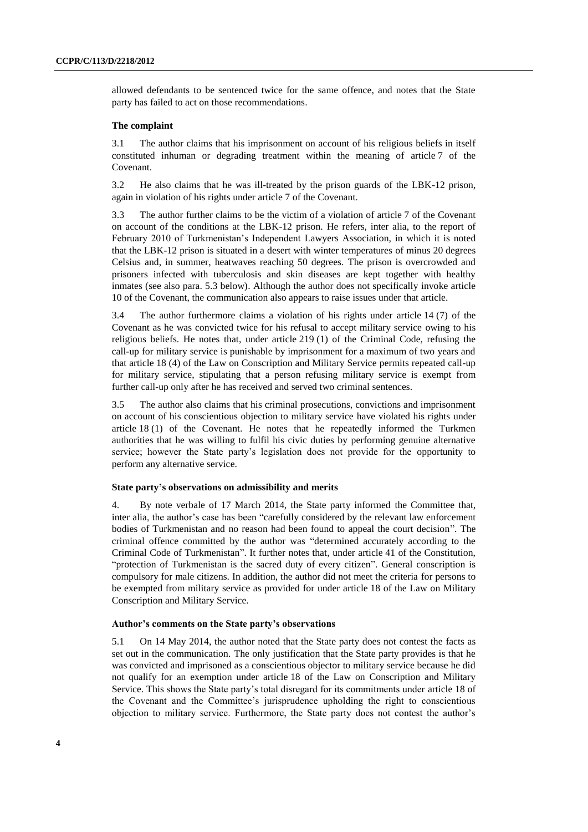allowed defendants to be sentenced twice for the same offence, and notes that the State party has failed to act on those recommendations.

#### **The complaint**

3.1 The author claims that his imprisonment on account of his religious beliefs in itself constituted inhuman or degrading treatment within the meaning of article 7 of the Covenant.

3.2 He also claims that he was ill-treated by the prison guards of the LBK-12 prison, again in violation of his rights under article 7 of the Covenant.

3.3 The author further claims to be the victim of a violation of article 7 of the Covenant on account of the conditions at the LBK-12 prison. He refers, inter alia, to the report of February 2010 of Turkmenistan's Independent Lawyers Association, in which it is noted that the LBK-12 prison is situated in a desert with winter temperatures of minus 20 degrees Celsius and, in summer, heatwaves reaching 50 degrees. The prison is overcrowded and prisoners infected with tuberculosis and skin diseases are kept together with healthy inmates (see also para. 5.3 below). Although the author does not specifically invoke article 10 of the Covenant, the communication also appears to raise issues under that article.

3.4 The author furthermore claims a violation of his rights under article 14 (7) of the Covenant as he was convicted twice for his refusal to accept military service owing to his religious beliefs. He notes that, under article 219 (1) of the Criminal Code, refusing the call-up for military service is punishable by imprisonment for a maximum of two years and that article 18 (4) of the Law on Conscription and Military Service permits repeated call-up for military service, stipulating that a person refusing military service is exempt from further call-up only after he has received and served two criminal sentences.

3.5 The author also claims that his criminal prosecutions, convictions and imprisonment on account of his conscientious objection to military service have violated his rights under article 18 (1) of the Covenant. He notes that he repeatedly informed the Turkmen authorities that he was willing to fulfil his civic duties by performing genuine alternative service; however the State party's legislation does not provide for the opportunity to perform any alternative service.

#### **State party's observations on admissibility and merits**

4. By note verbale of 17 March 2014, the State party informed the Committee that, inter alia, the author's case has been "carefully considered by the relevant law enforcement bodies of Turkmenistan and no reason had been found to appeal the court decision". The criminal offence committed by the author was "determined accurately according to the Criminal Code of Turkmenistan". It further notes that, under article 41 of the Constitution, "protection of Turkmenistan is the sacred duty of every citizen". General conscription is compulsory for male citizens. In addition, the author did not meet the criteria for persons to be exempted from military service as provided for under article 18 of the Law on Military Conscription and Military Service.

#### **Author's comments on the State party's observations**

5.1 On 14 May 2014, the author noted that the State party does not contest the facts as set out in the communication. The only justification that the State party provides is that he was convicted and imprisoned as a conscientious objector to military service because he did not qualify for an exemption under article 18 of the Law on Conscription and Military Service. This shows the State party's total disregard for its commitments under article 18 of the Covenant and the Committee's jurisprudence upholding the right to conscientious objection to military service. Furthermore, the State party does not contest the author's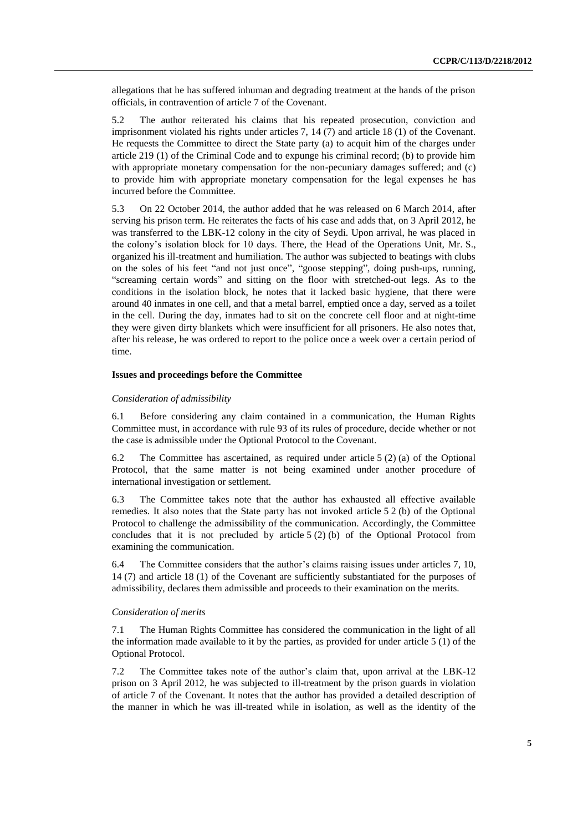allegations that he has suffered inhuman and degrading treatment at the hands of the prison officials, in contravention of article 7 of the Covenant.

5.2 The author reiterated his claims that his repeated prosecution, conviction and imprisonment violated his rights under articles 7, 14 (7) and article 18 (1) of the Covenant. He requests the Committee to direct the State party (a) to acquit him of the charges under article 219 (1) of the Criminal Code and to expunge his criminal record; (b) to provide him with appropriate monetary compensation for the non-pecuniary damages suffered; and (c) to provide him with appropriate monetary compensation for the legal expenses he has incurred before the Committee.

5.3 On 22 October 2014, the author added that he was released on 6 March 2014, after serving his prison term. He reiterates the facts of his case and adds that, on 3 April 2012, he was transferred to the LBK-12 colony in the city of Seydi. Upon arrival, he was placed in the colony's isolation block for 10 days. There, the Head of the Operations Unit, Mr. S., organized his ill-treatment and humiliation. The author was subjected to beatings with clubs on the soles of his feet "and not just once", "goose stepping", doing push-ups, running, "screaming certain words" and sitting on the floor with stretched-out legs. As to the conditions in the isolation block, he notes that it lacked basic hygiene, that there were around 40 inmates in one cell, and that a metal barrel, emptied once a day, served as a toilet in the cell. During the day, inmates had to sit on the concrete cell floor and at night-time they were given dirty blankets which were insufficient for all prisoners. He also notes that, after his release, he was ordered to report to the police once a week over a certain period of time.

#### **Issues and proceedings before the Committee**

#### *Consideration of admissibility*

6.1 Before considering any claim contained in a communication, the Human Rights Committee must, in accordance with rule 93 of its rules of procedure, decide whether or not the case is admissible under the Optional Protocol to the Covenant.

6.2 The Committee has ascertained, as required under article 5 (2) (a) of the Optional Protocol, that the same matter is not being examined under another procedure of international investigation or settlement.

6.3 The Committee takes note that the author has exhausted all effective available remedies. It also notes that the State party has not invoked article 5 2 (b) of the Optional Protocol to challenge the admissibility of the communication. Accordingly, the Committee concludes that it is not precluded by article  $5(2)(b)$  of the Optional Protocol from examining the communication.

6.4 The Committee considers that the author's claims raising issues under articles 7, 10, 14 (7) and article 18 (1) of the Covenant are sufficiently substantiated for the purposes of admissibility, declares them admissible and proceeds to their examination on the merits.

#### *Consideration of merits*

7.1 The Human Rights Committee has considered the communication in the light of all the information made available to it by the parties, as provided for under article 5 (1) of the Optional Protocol.

7.2 The Committee takes note of the author's claim that, upon arrival at the LBK-12 prison on 3 April 2012, he was subjected to ill-treatment by the prison guards in violation of article 7 of the Covenant. It notes that the author has provided a detailed description of the manner in which he was ill-treated while in isolation, as well as the identity of the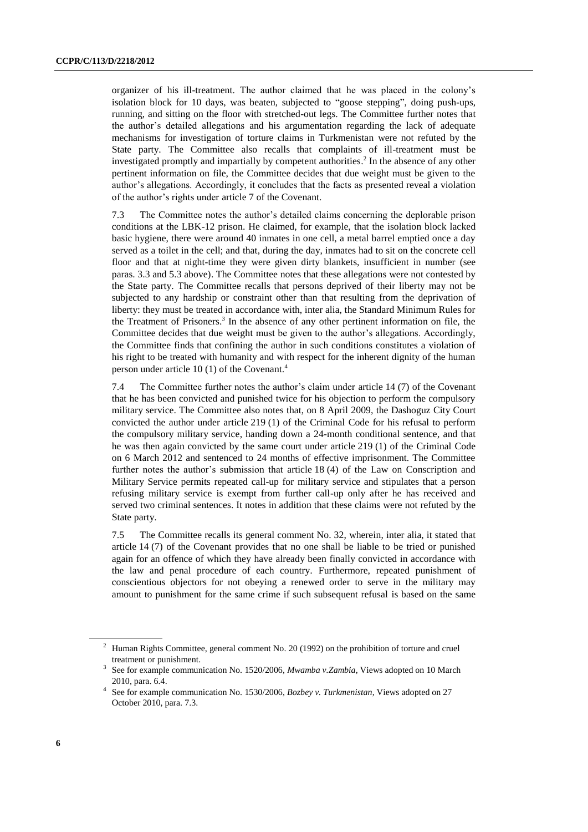organizer of his ill-treatment. The author claimed that he was placed in the colony's isolation block for 10 days, was beaten, subjected to "goose stepping", doing push-ups, running, and sitting on the floor with stretched-out legs. The Committee further notes that the author's detailed allegations and his argumentation regarding the lack of adequate mechanisms for investigation of torture claims in Turkmenistan were not refuted by the State party. The Committee also recalls that complaints of ill-treatment must be investigated promptly and impartially by competent authorities. 2 In the absence of any other pertinent information on file, the Committee decides that due weight must be given to the author's allegations. Accordingly, it concludes that the facts as presented reveal a violation of the author's rights under article 7 of the Covenant.

7.3 The Committee notes the author's detailed claims concerning the deplorable prison conditions at the LBK-12 prison. He claimed, for example, that the isolation block lacked basic hygiene, there were around 40 inmates in one cell, a metal barrel emptied once a day served as a toilet in the cell; and that, during the day, inmates had to sit on the concrete cell floor and that at night-time they were given dirty blankets, insufficient in number (see paras. 3.3 and 5.3 above). The Committee notes that these allegations were not contested by the State party. The Committee recalls that persons deprived of their liberty may not be subjected to any hardship or constraint other than that resulting from the deprivation of liberty: they must be treated in accordance with, inter alia, the Standard Minimum Rules for the Treatment of Prisoners. 3 In the absence of any other pertinent information on file, the Committee decides that due weight must be given to the author's allegations. Accordingly, the Committee finds that confining the author in such conditions constitutes a violation of his right to be treated with humanity and with respect for the inherent dignity of the human person under article 10 (1) of the Covenant.<sup>4</sup>

7.4 The Committee further notes the author's claim under article 14 (7) of the Covenant that he has been convicted and punished twice for his objection to perform the compulsory military service. The Committee also notes that, on 8 April 2009, the Dashoguz City Court convicted the author under article 219 (1) of the Criminal Code for his refusal to perform the compulsory military service, handing down a 24-month conditional sentence, and that he was then again convicted by the same court under article 219 (1) of the Criminal Code on 6 March 2012 and sentenced to 24 months of effective imprisonment. The Committee further notes the author's submission that article 18 (4) of the Law on Conscription and Military Service permits repeated call-up for military service and stipulates that a person refusing military service is exempt from further call-up only after he has received and served two criminal sentences. It notes in addition that these claims were not refuted by the State party.

7.5 The Committee recalls its general comment No. 32, wherein, inter alia, it stated that article 14 (7) of the Covenant provides that no one shall be liable to be tried or punished again for an offence of which they have already been finally convicted in accordance with the law and penal procedure of each country*.* Furthermore, repeated punishment of conscientious objectors for not obeying a renewed order to serve in the military may amount to punishment for the same crime if such subsequent refusal is based on the same

<sup>&</sup>lt;sup>2</sup> Human Rights Committee, general comment No. 20 (1992) on the prohibition of torture and cruel treatment or punishment.

<sup>&</sup>lt;sup>3</sup> See for example communication No. 1520/2006, *Mwamba v.Zambia*, Views adopted on 10 March 2010, para. 6.4.

<sup>4</sup> See for example communication No. 1530/2006, *Bozbey v. Turkmenistan*, Views adopted on 27 October 2010, para. 7.3.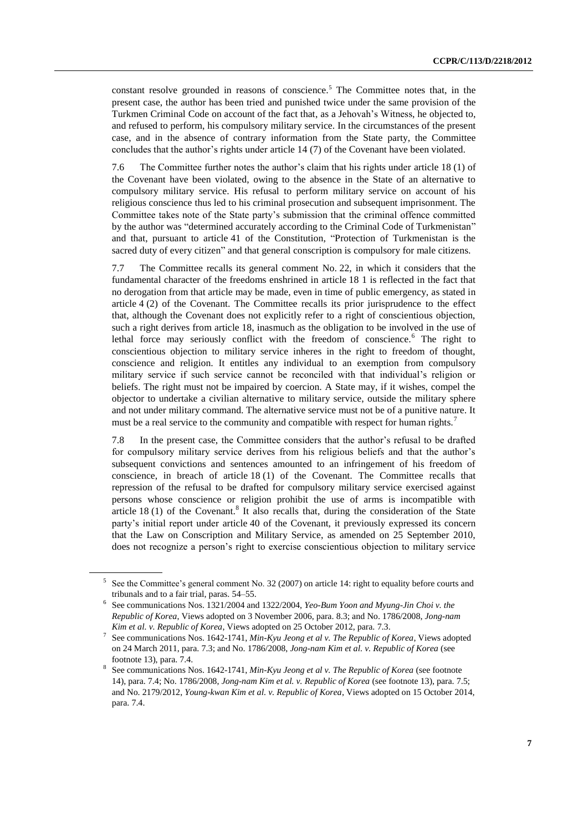constant resolve grounded in reasons of conscience.<sup>5</sup> The Committee notes that, in the present case, the author has been tried and punished twice under the same provision of the Turkmen Criminal Code on account of the fact that, as a Jehovah's Witness, he objected to, and refused to perform, his compulsory military service. In the circumstances of the present case, and in the absence of contrary information from the State party, the Committee concludes that the author's rights under article 14 (7) of the Covenant have been violated.

7.6 The Committee further notes the author's claim that his rights under article 18 (1) of the Covenant have been violated, owing to the absence in the State of an alternative to compulsory military service. His refusal to perform military service on account of his religious conscience thus led to his criminal prosecution and subsequent imprisonment. The Committee takes note of the State party's submission that the criminal offence committed by the author was "determined accurately according to the Criminal Code of Turkmenistan" and that, pursuant to article 41 of the Constitution, "Protection of Turkmenistan is the sacred duty of every citizen" and that general conscription is compulsory for male citizens.

7.7 The Committee recalls its general comment No. 22, in which it considers that the fundamental character of the freedoms enshrined in article 18 1 is reflected in the fact that no derogation from that article may be made, even in time of public emergency, as stated in article 4 (2) of the Covenant. The Committee recalls its prior jurisprudence to the effect that, although the Covenant does not explicitly refer to a right of conscientious objection, such a right derives from article 18, inasmuch as the obligation to be involved in the use of lethal force may seriously conflict with the freedom of conscience.<sup>6</sup> The right to conscientious objection to military service inheres in the right to freedom of thought, conscience and religion. It entitles any individual to an exemption from compulsory military service if such service cannot be reconciled with that individual's religion or beliefs. The right must not be impaired by coercion. A State may, if it wishes, compel the objector to undertake a civilian alternative to military service, outside the military sphere and not under military command. The alternative service must not be of a punitive nature. It must be a real service to the community and compatible with respect for human rights.<sup>7</sup>

7.8 In the present case, the Committee considers that the author's refusal to be drafted for compulsory military service derives from his religious beliefs and that the author's subsequent convictions and sentences amounted to an infringement of his freedom of conscience, in breach of article 18 (1) of the Covenant. The Committee recalls that repression of the refusal to be drafted for compulsory military service exercised against persons whose conscience or religion prohibit the use of arms is incompatible with article  $18(1)$  of the Covenant.<sup>8</sup> It also recalls that, during the consideration of the State party's initial report under article 40 of the Covenant, it previously expressed its concern that the Law on Conscription and Military Service, as amended on 25 September 2010, does not recognize a person's right to exercise conscientious objection to military service

<sup>5</sup> See the Committee's general comment No. 32 (2007) on article 14: right to equality before courts and tribunals and to a fair trial, paras. 54–55.

<sup>6</sup> See communications Nos. 1321/2004 and 1322/2004, *Yeo-Bum Yoon and Myung-Jin Choi v. the Republic of Korea*, Views adopted on 3 November 2006, para. 8.3; and No. 1786/2008, *Jong-nam Kim et al. v. Republic of Korea*, Views adopted on 25 October 2012, para. 7.3.

<sup>7</sup> See communications Nos. 1642-1741, *Min-Kyu Jeong et al v. The Republic of Korea*, Views adopted on 24 March 2011, para. 7.3; and No. 1786/2008, *Jong-nam Kim et al. v. Republic of Korea* (see footnote 13), para. 7.4.

<sup>8</sup> See communications Nos. 1642-1741, *Min-Kyu Jeong et al v. The Republic of Korea* (see footnote 14), para. 7.4; No. 1786/2008, *Jong-nam Kim et al. v. Republic of Korea* (see footnote 13), para. 7.5; and No. 2179/2012, *Young-kwan Kim et al. v. Republic of Korea*, Views adopted on 15 October 2014, para. 7.4.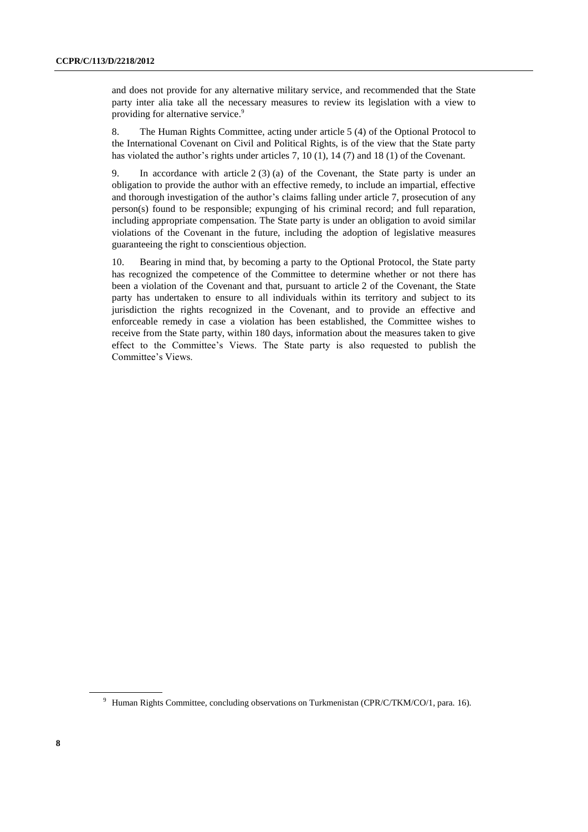and does not provide for any alternative military service, and recommended that the State party inter alia take all the necessary measures to review its legislation with a view to providing for alternative service.<sup>9</sup>

8. The Human Rights Committee, acting under article 5 (4) of the Optional Protocol to the International Covenant on Civil and Political Rights, is of the view that the State party has violated the author's rights under articles 7, 10 (1), 14 (7) and 18 (1) of the Covenant.

9. In accordance with article 2 (3) (a) of the Covenant, the State party is under an obligation to provide the author with an effective remedy, to include an impartial, effective and thorough investigation of the author's claims falling under article 7, prosecution of any person(s) found to be responsible; expunging of his criminal record; and full reparation, including appropriate compensation. The State party is under an obligation to avoid similar violations of the Covenant in the future, including the adoption of legislative measures guaranteeing the right to conscientious objection.

10. Bearing in mind that, by becoming a party to the Optional Protocol, the State party has recognized the competence of the Committee to determine whether or not there has been a violation of the Covenant and that, pursuant to article 2 of the Covenant, the State party has undertaken to ensure to all individuals within its territory and subject to its jurisdiction the rights recognized in the Covenant, and to provide an effective and enforceable remedy in case a violation has been established, the Committee wishes to receive from the State party, within 180 days, information about the measures taken to give effect to the Committee's Views. The State party is also requested to publish the Committee's Views.

<sup>&</sup>lt;sup>9</sup> Human Rights Committee, concluding observations on Turkmenistan (CPR/C/TKM/CO/1, para. 16).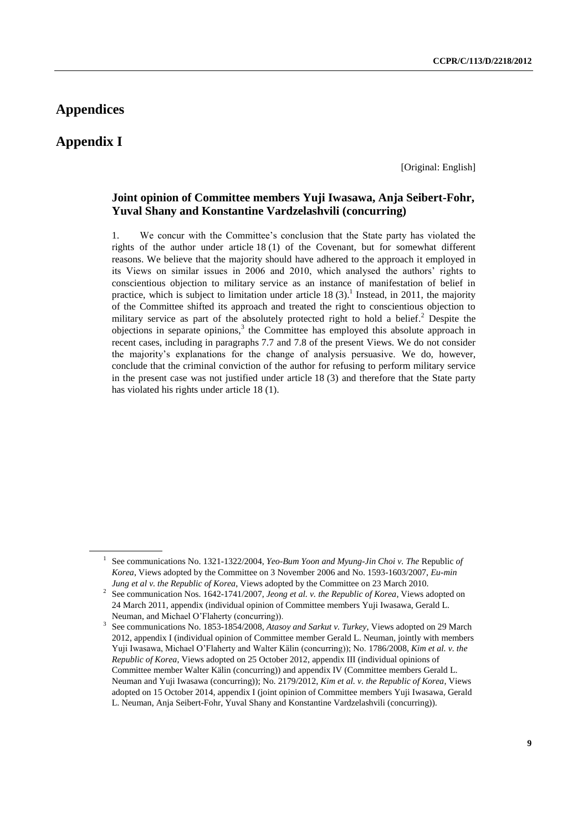## **Appendices**

## **Appendix I**

[Original: English]

### **Joint opinion of Committee members Yuji Iwasawa, Anja Seibert-Fohr, Yuval Shany and Konstantine Vardzelashvili (concurring)**

1. We concur with the Committee's conclusion that the State party has violated the rights of the author under article 18 (1) of the Covenant, but for somewhat different reasons. We believe that the majority should have adhered to the approach it employed in its Views on similar issues in 2006 and 2010, which analysed the authors' rights to conscientious objection to military service as an instance of manifestation of belief in practice, which is subject to limitation under article  $18(3)$ .<sup>1</sup> Instead, in 2011, the majority of the Committee shifted its approach and treated the right to conscientious objection to military service as part of the absolutely protected right to hold a belief.<sup>2</sup> Despite the objections in separate opinions, 3 the Committee has employed this absolute approach in recent cases, including in paragraphs 7.7 and 7.8 of the present Views. We do not consider the majority's explanations for the change of analysis persuasive. We do, however, conclude that the criminal conviction of the author for refusing to perform military service in the present case was not justified under article 18 (3) and therefore that the State party has violated his rights under article 18 (1).

<sup>&</sup>lt;sup>1</sup> See communications No. 1321-1322/2004, *Yeo-Bum Yoon and Myung-Jin Choi v. The Republic of Korea*, Views adopted by the Committee on 3 November 2006 and No. 1593-1603/2007, *Eu-min Jung et al v. the Republic of Korea*, Views adopted by the Committee on 23 March 2010.

<sup>2</sup> See communication Nos. 1642-1741/2007, *Jeong et al. v. the Republic of Korea*, Views adopted on 24 March 2011, appendix (individual opinion of Committee members Yuji Iwasawa, Gerald L. Neuman, and Michael O'Flaherty (concurring)).

<sup>3</sup> See communications No. 1853-1854/2008, *Atasoy and Sarkut v. Turkey*, Views adopted on 29 March 2012, appendix I (individual opinion of Committee member Gerald L. Neuman, jointly with members Yuji Iwasawa, Michael O'Flaherty and Walter Kälin (concurring)); No. 1786/2008, *Kim et al. v. the Republic of Korea*, Views adopted on 25 October 2012, appendix III (individual opinions of Committee member Walter Kälin (concurring)) and appendix IV (Committee members Gerald L. Neuman and Yuji Iwasawa (concurring)); No. 2179/2012, *Kim et al. v. the Republic of Korea*, Views adopted on 15 October 2014, appendix I (joint opinion of Committee members Yuji Iwasawa, Gerald L. Neuman, Anja Seibert-Fohr, Yuval Shany and Konstantine Vardzelashvili (concurring)).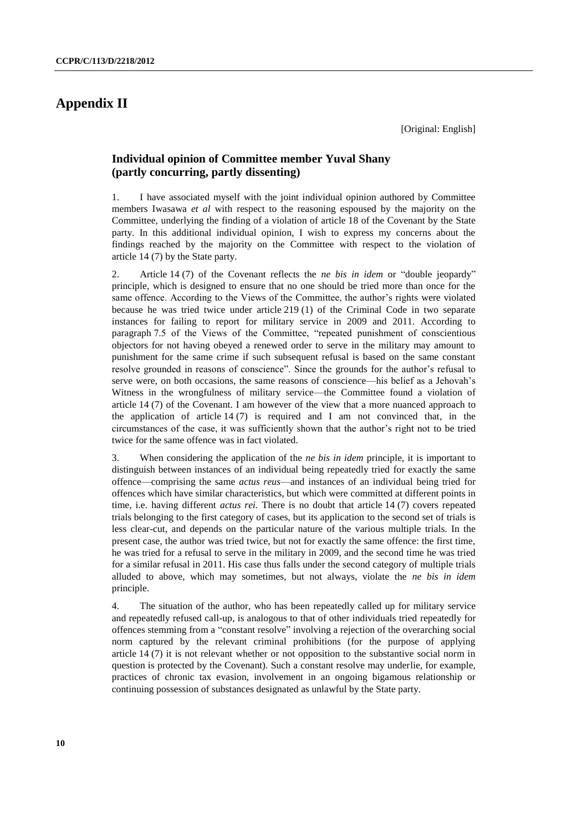# **Appendix II**

[Original: English]

### **Individual opinion of Committee member Yuval Shany (partly concurring, partly dissenting)**

1. I have associated myself with the joint individual opinion authored by Committee members Iwasawa *et al* with respect to the reasoning espoused by the majority on the Committee, underlying the finding of a violation of article 18 of the Covenant by the State party. In this additional individual opinion, I wish to express my concerns about the findings reached by the majority on the Committee with respect to the violation of article 14 (7) by the State party.

2. Article 14 (7) of the Covenant reflects the *ne bis in idem* or "double jeopardy" principle, which is designed to ensure that no one should be tried more than once for the same offence. According to the Views of the Committee, the author's rights were violated because he was tried twice under article 219 (1) of the Criminal Code in two separate instances for failing to report for military service in 2009 and 2011. According to paragraph 7.5 of the Views of the Committee, "repeated punishment of conscientious objectors for not having obeyed a renewed order to serve in the military may amount to punishment for the same crime if such subsequent refusal is based on the same constant resolve grounded in reasons of conscience". Since the grounds for the author's refusal to serve were, on both occasions, the same reasons of conscience—his belief as a Jehovah's Witness in the wrongfulness of military service—the Committee found a violation of article 14 (7) of the Covenant. I am however of the view that a more nuanced approach to the application of article  $14(7)$  is required and I am not convinced that, in the circumstances of the case, it was sufficiently shown that the author's right not to be tried twice for the same offence was in fact violated.

3. When considering the application of the *ne bis in idem* principle, it is important to distinguish between instances of an individual being repeatedly tried for exactly the same offence—comprising the same *actus reus*—and instances of an individual being tried for offences which have similar characteristics, but which were committed at different points in time, i.e. having different *actus rei.* There is no doubt that article 14 (7) covers repeated trials belonging to the first category of cases, but its application to the second set of trials is less clear-cut, and depends on the particular nature of the various multiple trials. In the present case, the author was tried twice, but not for exactly the same offence: the first time, he was tried for a refusal to serve in the military in 2009, and the second time he was tried for a similar refusal in 2011. His case thus falls under the second category of multiple trials alluded to above, which may sometimes, but not always, violate the *ne bis in idem*  principle.

4. The situation of the author, who has been repeatedly called up for military service and repeatedly refused call-up, is analogous to that of other individuals tried repeatedly for offences stemming from a "constant resolve" involving a rejection of the overarching social norm captured by the relevant criminal prohibitions (for the purpose of applying article 14 (7) it is not relevant whether or not opposition to the substantive social norm in question is protected by the Covenant). Such a constant resolve may underlie, for example, practices of chronic tax evasion, involvement in an ongoing bigamous relationship or continuing possession of substances designated as unlawful by the State party.